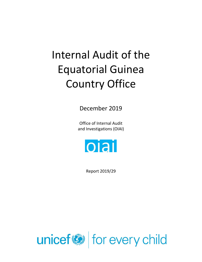# Internal Audit of the Equatorial Guinea Country Office

December 2019

Office of Internal Audit and Investigations (OIAI)



Report 2019/29

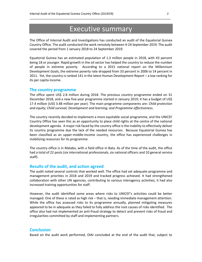## Executive summary

\_\_\_\_\_\_\_\_\_\_\_\_\_\_\_\_\_\_\_\_\_\_\_\_\_\_\_\_\_\_\_\_\_\_\_\_\_\_\_\_\_\_\_\_\_\_\_\_\_\_\_\_\_\_\_\_\_\_\_\_\_\_\_\_\_\_\_\_\_\_\_\_\_\_\_\_\_\_

The Office of Internal Audit and Investigations has conducted an audit of the Equatorial Guinea Country Office. The audit conducted the work remotely between 4-24 September 2019. The audit covered the period from 1 January 2018 to 24 September 2019.

Equatorial Guinea has an estimated population of 1.3 million people in 2018, with 43 percent being 18 or younger. Rapid growth in the oil sector has helped the country to reduce the number of people in extreme poverty. According to a 2015 national report on the Millennium Development Goals, the extreme poverty rate dropped from 33 percent in 2006 to 14 percent in 2011. Yet, the country is ranked 141 in the latest Human Development Report – a low ranking for its per capita income.

#### **The country programme**

The office spent US\$ 2.8 million during 2018. The previous country programme ended on 31 December 2018, and a new five-year programme started in January 2019; it has a budget of US\$ 17.4 million (US\$ 3.48 million per year). The main programme components are: *Child protection and equity; Child survival; Development and learning; and Programme effectiveness*.

The country recently decided to implement a more equitable social programme, and the UNICEF Country Office has seen this as an opportunity to place child rights at the centre of the national development agenda. A major risk faced by the country office is the inability to effectively deliver its country programme due the lack of the needed resources. Because Equatorial Guinea has been classified as an upper-middle-income country, the office has experienced challenges in mobilizing resources for its programme.

The country office is in Malabo, with a field office in Bata. As of the time of the audit, the office had a total of 22 posts (six international professionals, six national officers and 10 general service staff).

#### **Results of the audit, and action agreed**

The audit noted several controls that worked well. The office had set adequate programme and management priorities in 2018 and 2019 and tracked progress achieved. It had strengthened collaboration with other UN agencies, contributing to various interagency activities; it had also increased training opportunities for staff.

However, the audit identified some areas where risks to UNICEF's activities could be better managed. One of these is rated as high risk – that is, needing immediate management attention. While the office has assessed risks to its programme annually, planned mitigating measures appeared to be in adequate as they failed to fully address the root causes of risks identified. The office also had not implemented an anti-fraud strategy to detect and prevent risks of fraud and irregularities committed by staff and implementing partners.

#### **Conclusion**

Based on the audit work performed, OIAI concluded at the end of the audit that, subject to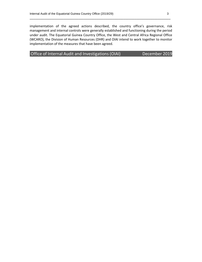implementation of the agreed actions described, the country office's governance, risk management and internal controls were generally established and functioning during the period under audit. The Equatorial Guinea Country Office, the West and Central Africa Regional Office (WCARO), the Division of Human Resources (DHR) and OIAI intend to work together to monitor implementation of the measures that have been agreed.

\_\_\_\_\_\_\_\_\_\_\_\_\_\_\_\_\_\_\_\_\_\_\_\_\_\_\_\_\_\_\_\_\_\_\_\_\_\_\_\_\_\_\_\_\_\_\_\_\_\_\_\_\_\_\_\_\_\_\_\_\_\_\_\_\_\_\_\_\_\_\_\_\_\_\_\_\_\_

Office of Internal Audit and Investigations (OIAI) December 2019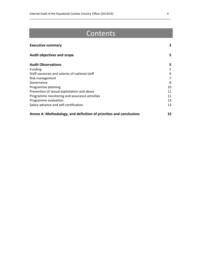## Contents

\_\_\_\_\_\_\_\_\_\_\_\_\_\_\_\_\_\_\_\_\_\_\_\_\_\_\_\_\_\_\_\_\_\_\_\_\_\_\_\_\_\_\_\_\_\_\_\_\_\_\_\_\_\_\_\_\_\_\_\_\_\_\_\_\_\_\_\_\_\_\_\_\_\_\_\_\_\_

| <b>Executive summary</b>                                           | $\mathbf{2}$   |
|--------------------------------------------------------------------|----------------|
| <b>Audit objectives and scope</b>                                  | 5              |
| <b>Audit Observations</b>                                          | 5.             |
| <b>Funding</b>                                                     | 5              |
| Staff vacancies and salaries of national staff                     | 6              |
| Risk management                                                    | $\overline{7}$ |
| Governance                                                         | 8              |
| Programme planning                                                 | 10             |
| Prevention of sexual exploitation and abuse                        | 11             |
| Programme monitoring and assurance activities                      | 11             |
| Programme evaluation                                               | 13             |
| Salary advance and self-certification                              | 13             |
| Annex A: Methodology, and definition of priorities and conclusions | 15             |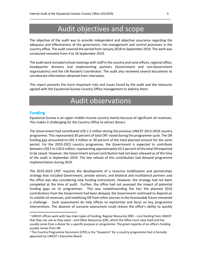## Audit objectives and scope

\_\_\_\_\_\_\_\_\_\_\_\_\_\_\_\_\_\_\_\_\_\_\_\_\_\_\_\_\_\_\_\_\_\_\_\_\_\_\_\_\_\_\_\_\_\_\_\_\_\_\_\_\_\_\_\_\_\_\_\_\_\_\_\_\_\_\_\_\_\_\_\_\_\_\_\_\_\_

The objective of the audit was to provide independent and objective assurance regarding the adequacy and effectiveness of the governance, risk management and control processes in the country office. The audit covered the period from January 2018 to September 2019. The work was conducted remotely from 4 to 24 September 2019.

The audit work included virtual meetings with staff in the country and zone offices, regional office, headquarter divisions and implementing partners (Government and non-Government organizations) and the UN Resident Coordinator. The audit also reviewed several documents to corroborate information obtained from interviews.

This report presents the more important risks and issues found by the audit and the measures agreed with the Equatorial Guinea Country Office management to address them.

## Audit observations

#### **Funding**

Equatorial Guinea is an upper middle-income country mainly because of significant oil revenues. This makes it challenging for the Country Office to attract donors.

The Government had contributed US\$ 2.2 million during the previous UNICEF 2013-2018 country programme. This represented 30 percent of total OR<sup>1</sup> raised during the programme cycle. The OR funding gap amounted to US\$ 3 million or 30 percent of the total planned amount for the same period. For the 2019-2023 country programme, the Government is expected to contribute between US\$ 5 to US\$ 6 million, representing approximately 43.5 percent of the total OR expected to be raised. However, the Government annual contribution had not been released as of the time of the audit in September 2019. The late release of this contribution had delayed programme implementation during 2019.

The 2019-2023 CPD<sup>2</sup> requires the development of a resource mobilization and partnerships strategy that included Government, private sectors, and bilateral and multilateral partners and the office was also considering new funding instruments. However, the strategy had not been completed at the time of audit. Further, the office had not assessed the impact of potential funding gaps on its programmes. This was notwithstanding the fact the planned 2019 contributions from the Government had been delayed, the Government continued to depend on its volatile oil revenues, and mobilizing OR from other sources in the foreseeable future remained a challenge. Such assessments do help offices to reprioritize and focus on key programme interventions. The absence of scenario assessment could reduce the office's ability to quickly

<sup>&</sup>lt;sup>1</sup> UNICEF offices work with two main types of funding, Regular Resources (RR) – core funding from UNICEF that they can use as they need – and Other Resources (OR), which the office must raise itself and has usually come from a donor for a specific purpose or programme. The great majority of an office's funding usually comes from OR.

<sup>&</sup>lt;sup>2</sup> The Country Programme Document (CPD) is the "blueprint" for a country programme that is formally approved by UNICEF's Executive Board.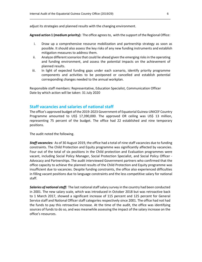adjust its strategies and planned results with the changing environment.

**Agreed action 1 (medium priority):** The office agrees to, with the support of the Regional Office:

\_\_\_\_\_\_\_\_\_\_\_\_\_\_\_\_\_\_\_\_\_\_\_\_\_\_\_\_\_\_\_\_\_\_\_\_\_\_\_\_\_\_\_\_\_\_\_\_\_\_\_\_\_\_\_\_\_\_\_\_\_\_\_\_\_\_\_\_\_\_\_\_\_\_\_\_\_\_

- i. Draw up a comprehensive resource mobilization and partnership strategy as soon as possible. It should also assess the key risks of any new funding instruments and establish mitigation measures to address them.
- ii. Analyze different scenarios that could lie ahead given the emerging risks in the operating and funding environment, and assess the potential impacts on the achievement of planned results.
- iii. In light of expected funding gaps under each scenario, identify priority programme components and activities to be postponed or cancelled and establish potential corresponding changes needed to the annual workplan.

Responsible staff members: Representative, Education Specialist, Communication Officer Date by which action will be taken: 31 July 2020

#### **Staff vacancies and salaries of national staff**

The office's approved budget of the 2019-2023 Government of Equatorial Guinea-UNICEF Country Programme amounted to US\$ 17,390,000. The approved OR ceiling was US\$ 13 million, representing 75 percent of the budget. The office had 22 established and nine temporary positions.

The audit noted the following.

*Staff vacancies:* As of 30 August 2019, the office had a total of nine staff vacancies due to funding constraints. The Child Protection and Equity programme was significantly affected by vacancies. Four out of the total of six positions in the Child protection and Evaluation programmes were vacant, including Social Policy Manager, Social Protection Specialist, and Social Policy Officer - Advocacy and Partnerships. The audit interviewed Government partners who confirmed that the office capacity to achieve the planned results of the Child Protection and Equity programme was insufficient due to vacancies. Despite funding constraints, the office also experienced difficulties in filling vacant positions due to language constraints and the less competitive salary for national staff.

*Salaries of national staff:* The last national staff salary survey in the country had been conducted in 2001. The new salary scale, which was introduced in October 2018 but was retroactive back to 1 March 2017, showed a significant increase of 115 percent and 125 percent for General Service staff and National Officer staff categories respectively since 2001. The office had not had the funds to pay this retroactive increase. At the time of the audit, the office was identifying sources of funds to do so, and was meanwhile assessing the impact of the salary increase on the office's resources.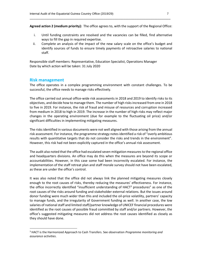**Agreed action 2 (medium priority):** The office agrees to, with the support of the Regional Office:

\_\_\_\_\_\_\_\_\_\_\_\_\_\_\_\_\_\_\_\_\_\_\_\_\_\_\_\_\_\_\_\_\_\_\_\_\_\_\_\_\_\_\_\_\_\_\_\_\_\_\_\_\_\_\_\_\_\_\_\_\_\_\_\_\_\_\_\_\_\_\_\_\_\_\_\_\_\_

- i. Until funding constraints are resolved and the vacancies can be filled, find alternative ways to fill the gap in required expertise.
- ii. Complete an analysis of the impact of the new salary scale on the office's budget and identify sources of funds to ensure timely payments of retroactive salaries to national staff.

Responsible staff members: Representative, Education Specialist, Operations Manager Date by which action will be taken: 31 July 2020

#### **Risk management**

The office operates in a complex programming environment with constant challenges. To be successful, the office needs to manage risks effectively.

The office carried out annual office-wide risk assessments in 2018 and 2019 to identify risks to its objectives, and decide how to manage them. The number of high risks increased from one in 2018 to five in 2019. For instance, the risk of fraud and misuse of resources and corruption increased from medium in 2018 to high in 2019. The increase in the number of high risks may reflect major changes in the operating environment (due for example to the fluctuating oil price) and/or significant difficulties in implementing mitigating measures.

The risks identified in various documents were not well aligned with those arising from the annual risk assessment. For instance, the programme strategy notes identified a risk of "overly ambitious results with quantitative targets that do not consider the risks and trends in the environment". However, this risk had not been explicitly captured in the office's annual risk assessment.

The audit also noted that the office had escalated seven mitigation measures to the regional office and headquarters divisions. An office may do this when the measures are beyond its scope or accountabilities. However, in this case some had been incorrectly escalated. For instance, the implementation of the staff retreat plan and staff morale survey should not have been escalated, as these are under the office's control.

It was also noted that the office did not always link the planned mitigating measures closely enough to the root causes of risks, thereby reducing the measures' effectiveness. For instance, the office incorrectly identified "insufficient understanding of  $HACT<sup>3</sup>$  procedures" as one of the root causes of the risks around funding and stakeholder external relations. But the issues around donor funding were much wider than this and included the oil-price volatility, partners' capacity to manage funds, and the irregularity of Government funding as well. In another case, the low salaries of national staff and limited staff/partner knowledge of UNICEF financial procedures were identified as the root causes of possible fraud committed by staff and/or partners. However, the office's suggested mitigating measures did not address the root causes identified as closely as they should have done.

<sup>3</sup> HACT is the Harmonized Approach to Cash Transfers. See observation *Programme monitoring and assurance activities*.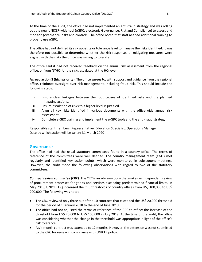At the time of the audit, the office had not implemented an anti-fraud strategy and was rolling out the new UNICEF-wide tool (eGRC: electronic Governance, Risk and Compliance) to assess and monitor governance, risks and controls. The office noted that staff needed additional training to properly use eGRC.

\_\_\_\_\_\_\_\_\_\_\_\_\_\_\_\_\_\_\_\_\_\_\_\_\_\_\_\_\_\_\_\_\_\_\_\_\_\_\_\_\_\_\_\_\_\_\_\_\_\_\_\_\_\_\_\_\_\_\_\_\_\_\_\_\_\_\_\_\_\_\_\_\_\_\_\_\_\_

The office had not defined its risk appetite or tolerance level to manage the risks identified. It was therefore not possible to determine whether the risk responses or mitigating measures were aligned with the risks the office was willing to tolerate.

The office said it had not received feedback on the annual risk assessment from the regional office, or from NYHQ for the risks escalated at the HQ level.

**Agreed action 3 (high priority):** The office agrees to, with support and guidance from the regional office, reinforce oversight over risk management, including fraud risk. This should include the following steps:

- i. Ensure clear linkages between the root causes of identified risks and the planned mitigating actions.
- ii. Ensure escalation of risks to a higher level is justified.
- iii. Align all key risks identified in various documents with the office-wide annual risk assessment.
- iv. Complete e-GRC training and implement the e-GRC tools and the anti-fraud strategy.

Responsible staff members: Representative, Education Specialist, Operations Manager Date by which action will be taken: 31 March 2020

#### **Governance**

The office had had the usual statutory committees found in a country office. The terms of reference of the committees were well defined. The country management team (CMT) met regularly and identified key action points, which were monitored in subsequent meetings. However, the audit made the following observations with regard to two of the statutory committees.

*Contract review committee (CRC):* The CRC is an advisory body that makes an independent review of procurement processes for goods and services exceeding predetermined financial limits. In May 2019, UNICEF HQ increased the CRC thresholds of country offices from US\$ 100,000 to US\$ 200,000. The following was noted.

- The CRC reviewed only three out of the 10 contracts that exceeded the US\$ 20,000 threshold for the period of 1 January 2018 to the end of June 2019.
- The office had not adjusted the terms of reference of the CRC to reflect the increase of the threshold from US\$ 20,000 to US\$ 100,000 in July 2019. At the time of the audit, the office was considering whether the change in the threshold was appropriate in light of the office's risk tolerance.
- A six-month contract was extended to 12 months. However, the extension was not submitted to the CRC for review in compliance with UNICEF policy.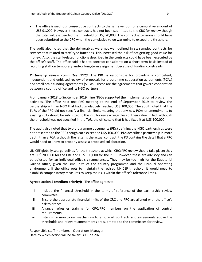• The office issued four consecutive contracts to the same vendor for a cumulative amount of US\$ 91,000. However, these contracts had not been submitted to the CRC for review though the total value exceeded the threshold of US\$ 20,000. The contract extensions should have been submitted to the CRC when the cumulative value was going to exceed the threshold.

\_\_\_\_\_\_\_\_\_\_\_\_\_\_\_\_\_\_\_\_\_\_\_\_\_\_\_\_\_\_\_\_\_\_\_\_\_\_\_\_\_\_\_\_\_\_\_\_\_\_\_\_\_\_\_\_\_\_\_\_\_\_\_\_\_\_\_\_\_\_\_\_\_\_\_\_\_\_

The audit also noted that the deliverables were not well defined in six sampled contracts for services that related to staff-type functions. This increased the risk of not getting good value for money. Also, the staff-related functions described in the contracts could have been executed by the office's staff. The office said it had to contract consultants on a short-term basis instead of recruiting staff on temporary and/or long-term assignment because of funding constraints.

*Partnership review committee (PRC):* The PRC is responsible for providing a competent, independent and unbiased review of proposals for programme cooperation agreements (PCAs) and small-scale funding agreements (SSFAs). These are the agreements that govern cooperation between a country office and its NGO partners.

From January 2018 to September 2019, nine NGOs supported the implementation of programme activities. The office held one PRC meeting at the end of September 2019 to review the partnership with an NGO that had cumulatively reached US\$ 100,000. The audit noted that the ToRs of the PRC did not specify a financial limit, meaning that any new PCAs or amendments to existing PCAs should be submitted to the PRC for review regardless of their value. In fact, although the threshold was not specified in the ToR, the office said that it had fixed it at US\$ 100,000.

The audit also noted that two programme documents (PDs) defining the NGO partnerships were not presented to the PRC though each exceeded US\$ 100,000. PDs describe a partnership in more depth than a PCA; although the latter is the actual contract, the PD contains the detail that a PRC would need to know to properly assess a proposed collaboration.

UNICEF globally sets guidelines for the threshold at which CRC/PRC review should take place; they are US\$ 200,000 for the CRC and US\$ 100,000 for the PRC. However, these are advisory and can be adjusted for an individual office's circumstances. They may be too high for the Equatorial Guinea office, given the small size of the country programme and the unusual operating environment. If the office opts to maintain the revised UNICEF threshold, it would need to establish compensatory measures to keep the risks within the office's tolerance limits.

#### **Agreed action 4 (medium priority):** The office agrees to:

- i. Include the financial threshold in the terms of reference of the partnership review committee.
- ii. Ensure the appropriate financial limits of the CRC and PRC are aligned with the office's risk tolerance.
- iii. Arrange refresher training for CRC/PRC members on the application of control requirements.
- iv. Establish a monitoring mechanism to ensure all contracts and agreements above the thresholds and relevant amendments are submitted to the committees for review.

Responsible staff members: Operations Manager Date by which action will be taken: 30 June 2020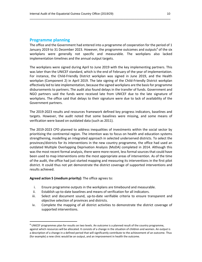#### **Programme planning**

The office and the Government had entered into a programme of cooperation for the period of 1 January 2019 to 31 December 2023. However, the programme outcomes and outputs<sup>4</sup> of the six workplans were generally not specific and measurable. The workplans also lacked implementation timelines and the annual output targets.

\_\_\_\_\_\_\_\_\_\_\_\_\_\_\_\_\_\_\_\_\_\_\_\_\_\_\_\_\_\_\_\_\_\_\_\_\_\_\_\_\_\_\_\_\_\_\_\_\_\_\_\_\_\_\_\_\_\_\_\_\_\_\_\_\_\_\_\_\_\_\_\_\_\_\_\_\_\_

The workplans were signed during April to June 2019 with the key implementing partners. This was later than the UNICEF standard, which is the end of February of the year of implementation. For instance, the Child-Friendly District workplan was signed in June 2019, and the Health workplan (Component 2) in April 2019. The late signing of the Child-Friendly District workplan effectively led to late implementation, because the signed workplans are the basis for programme disbursements to partners. The audit also found delays in the transfer of funds. Government and NGO partners said the funds were received late from UNICEF due to the late signature of workplans. The office said that delays to their signature were due to lack of availability of the Government partners.

The 2019-2023 results and resources framework defined key progress indicators, baselines and targets. However, the audit noted that some baselines were missing, and some means of verification were based on outdated data (such as 2011).

The 2019-2023 CPD planned to address inequalities of investments within the social sector by prioritizing the continental region. The intention was to focus on health and education systems strengthening, modelling an integrated approach in selected underserved districts. To select the provinces/districts for its interventions in the new country programme, the office had used an outdated Multiple Overlapping Deprivation Analysis (MoDA) completed in 2014. Although this was the most recent formal analysis, there were more recent, less formal sources that could have been used to map interventions onto the most appropriate areas of intervention. As of the time of the audit, the office had just started mapping and measuring its interventions in the first pilot district. It could thus not yet demonstrate the district coverage of supported interventions and results achieved.

**Agreed action 5 (medium priority):** The office agrees to:

- i. Ensure programme outputs in the workplans are timebound and measurable.
- ii. Establish up-to-date baselines and means of verification for all indicators.
- iii. Select and document sound, up-to-date verifiable criteria to ensure transparent and objective selection of provinces and districts.
- iv. Complete the mapping of all district activities to demonstrate the district coverage of supported interventions.

<sup>&</sup>lt;sup>4</sup> UNICEF programmes plan for results on two levels. An outcome is a planned result of the country programme, against which resources will be allocated. It consists of a change in the situation of children and women. An output is a description of a change in a defined period that will significantly contribute to the achievement of an outcome. Thus (for example) a new clinic would be an output, and an improvement in health the outcome.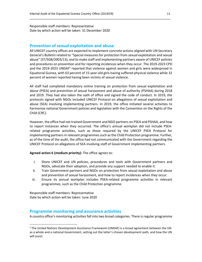Responsible staff members: Representative Date by which action will be taken: 31 December 2020

#### **Prevention of sexual exploitation and abuse**

All UNICEF country offices are expected to implement concrete actions aligned with UN Secretary General's Bulletin related to "Special measures for protection from sexual exploitation and sexual abuse" (ST/SGB/2003/13), and to make staff and implementing partners aware of UNICEF policies and procedures on prevention and for reporting incidences when they occur. The 2019-2023 CPD and the 2019-2023 UNDAF<sup>5</sup> reported that violence against women and girls were widespread in Equatorial Guinea, with 63 percent of 15-year-old girls having suffered physical violence while 32 percent of women reported having been victims of sexual violence.

\_\_\_\_\_\_\_\_\_\_\_\_\_\_\_\_\_\_\_\_\_\_\_\_\_\_\_\_\_\_\_\_\_\_\_\_\_\_\_\_\_\_\_\_\_\_\_\_\_\_\_\_\_\_\_\_\_\_\_\_\_\_\_\_\_\_\_\_\_\_\_\_\_\_\_\_\_\_

All staff had completed mandatory online training on protection from sexual exploitation and abuse (PSEA) and prevention of sexual harassment and abuse of authority (PSHAA) during 2018 and 2019. They had also taken the oath of office and signed the code of conduct. In 2019, the protocols signed with NGOs included UNICEF Protocol on allegations of sexual exploitation and abuse (SEA) involving implementing partners. In 2019, the office initiated several activities to harmonize national Government policies and legislation with the Convention on the Rights of the Child (CRC).

However, the office had not trained Government and NGO partners on PSEA and PSHAA, and how to report instances when they occurred. The office's annual workplan did not include PSEArelated programme activities, such as those required by the UNICEF PSEA Protocol for implementing partners in relevant programmes such as the Child Protection programme. Further, as of the time of the audit, the office had not communicated with the Government regarding the UNICEF Protocol on allegations of SEA involving staff of Government implementing partners.

**Agreed action 6 (medium priority):** The office agrees to:

- i. Share UNICEF and UN policies, procedures and tools with Government partners and NGOs, advocate their adoption, and provide any support needed to enable it.
- ii. Train Government partners and NGOs on protection from sexual exploitation and abuse and prevention of sexual harassment, and how to report incidences when they occur.
- iii. Ensure its annual workplan includes PSEA-related programme activities in relevant programmes, such as the Child Protection programme.

Responsible staff members: Representative Date by which action will be taken: June 2020

#### **Programme monitoring and assurance activities**

A country office's monitoring activities fall into two broad categories. There is regular programme

<sup>&</sup>lt;sup>5</sup> The United Nations Development Assistance Framework (UNDAF) is a broad agreement between the UN as a whole and a national Government, setting out the latter's chosen development path, and how the UN will assist.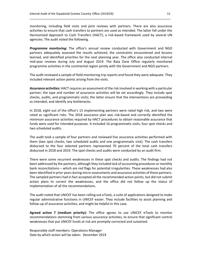monitoring, including field visits and joint reviews with partners. There are also assurance activities to ensure that cash transfers to partners are used as intended. The latter fall under the Harmonized Approach to Cash Transfers (HACT), a risk-based framework used by several UN agencies. The audit noted the following.

\_\_\_\_\_\_\_\_\_\_\_\_\_\_\_\_\_\_\_\_\_\_\_\_\_\_\_\_\_\_\_\_\_\_\_\_\_\_\_\_\_\_\_\_\_\_\_\_\_\_\_\_\_\_\_\_\_\_\_\_\_\_\_\_\_\_\_\_\_\_\_\_\_\_\_\_\_\_

*Programme monitoring:* The office's annual review conducted with Government and NGO partners adequately assessed the results achieved, the constraints encountered and lessons learned, and identified priorities for the next planning year. The office also conducted internal mid-year reviews during July and August 2019. The Bata Zone Office regularly monitored programme activities in the continental region jointly with the Government and NGO partners.

The audit reviewed a sample of field-monitoring trip reports and found they were adequate. They included relevant action points arising from the visits.

*Assurance activities:* HACT requires an assessment of the risk involved in working with a particular partner; the type and number of assurance activities will be set accordingly. They include spot checks, audits, and programmatic visits; the latter ensure that the interventions are proceeding as intended, and identify any bottlenecks.

In 2018, eight out of the office's 15 implementing partners were rated high risk, and two were rated as significant risks. The 2018 assurance plan was risk-based and correctly identified the minimum assurance activities required by HACT procedures to obtain reasonable assurance that funds were used for intended purposes. It included 16 programmatic visits, four spot checks and two scheduled audits.

The audit took a sample of four partners and reviewed five assurance activities performed with them (two spot checks, two scheduled audits and one programmatic visit). The cash transfers disbursed to the four selected partners represented 70 percent of the total cash transfers disbursed in 2018 and 2019. The spot checks and audits were conducted by an audit firm.

There were some recurrent weaknesses in these spot checks and audits. The findings had not been addressed by the partners, although they included lack of accounting procedures or monthly bank reconciliations – which are red flags for potential irregularities. These weaknesses had also been identified in prior years during micro-assessments and assurance activities of these partners. The sampled partners had in fact accepted all the recommended action points, but did not submit action plans to correct the weaknesses, and the office did not follow up the status of implementation of all the recommendations.

The audit noted that UNICEF has been rolling out eTools, a suite of applications designed to make regular administrative functions in UNICEF easier. They include facilities to assist planning and follow-up of assurance activities, and might be helpful in this case.

**Agreed action 7 (medium priority):** The office agrees to use UNICEF eTools to monitor recommendations stemming from various assurance activities, to ensure that significant control weaknesses that put UNICEF funds at risk are promptly corrected and sustained.

Responsible staff members: Operations Manager Date by which action will be taken: December 2019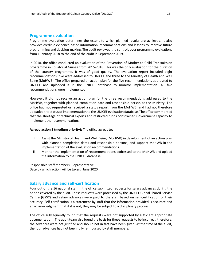#### **Programme evaluation**

Programme evaluation determines the extent to which planned results are achieved. It also provides credible evidence-based information, recommendations and lessons to improve future programming and decision-making. The audit reviewed the controls over programme evaluations from 1 January 2018 to the end of the audit in September 2019.

\_\_\_\_\_\_\_\_\_\_\_\_\_\_\_\_\_\_\_\_\_\_\_\_\_\_\_\_\_\_\_\_\_\_\_\_\_\_\_\_\_\_\_\_\_\_\_\_\_\_\_\_\_\_\_\_\_\_\_\_\_\_\_\_\_\_\_\_\_\_\_\_\_\_\_\_\_\_

In 2018, the office conducted an evaluation of the Prevention of Mother-to-Child Transmission programme in Equatorial Guinea from 2015-2018. This was the only evaluation for the duration of the country programme. It was of good quality. The evaluation report included eight recommendations; five were addressed to UNICEF and three to the Ministry of Health and Well Being (MoHWB). The office prepared an action plan for the five recommendations addressed to UNICEF and uploaded it in the UNICEF database to monitor implementation. All five recommendations were implemented.

However, it did not receive an action plan for the three recommendations addressed to the MoHWB, together with planned completion date and responsible person at the Ministry. The office had not requested or received a status report from the MoHWB, and had not therefore uploaded the status of implementation to the UNICEF evaluation database. The office commented that the shortage of technical experts and restricted funds constrained Government capacity to implement the recommendations.

**Agreed action 8 (medium priority):** The office agrees to:

- i. Assist the Ministry of Health and Well Being (MoHWB) in development of an action plan with planned completion dates and responsible persons, and support MoHWB in the implementation of the evaluation recommendations.
- ii. Monitor the implementation of recommendations addressed to the MoHWB and upload the information to the UNICEF database.

Responsible staff members: Representative Date by which action will be taken: June 2020

#### **Salary advance and self-certification**

Four out of the 16 national staff in the office submitted requests for salary advances during the period covered by the audit. These requests were processed by the UNICEF Global Shared Service Centre (GSSC) and salary advances were paid to the staff based on self-certification of their accuracy. Self-certification is a statement by staff that the information provided is accurate and an acknowledgment that if it is not, they may be subject to a disciplinary process.

The office subsequently found that the requests were not supported by sufficient appropriate documentation. The audit team also found the basis for these requests to be incorrect; therefore, the advances were not justified and should not in fact have been given. At the time of the audit, the four advances had not been fully reimbursed by staff members.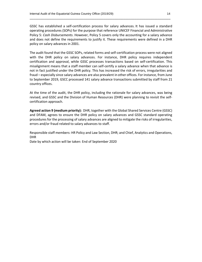GSSC has established a self-certification process for salary advances. It has issued a standard operating procedures (SOPs) for the purpose that reference UNICEF Financial and Administrative Policy 5: *Cash Disbursements*. However, Policy 5 covers only the accounting for a salary advance and does not define the requirements to justify it. These requirements were defined in a DHR policy on salary advances in 2001.

\_\_\_\_\_\_\_\_\_\_\_\_\_\_\_\_\_\_\_\_\_\_\_\_\_\_\_\_\_\_\_\_\_\_\_\_\_\_\_\_\_\_\_\_\_\_\_\_\_\_\_\_\_\_\_\_\_\_\_\_\_\_\_\_\_\_\_\_\_\_\_\_\_\_\_\_\_\_

The audit found that the GSSC SOPs, related forms and self-certification process were not aligned with the DHR policy on salary advances. For instance, DHR policy requires independent certification and approval, while GSSC processes transactions based on self-certification. This misalignment means that a staff member can self-certify a salary advance when that advance is not in fact justified under the DHR policy. This has increased the risk of errors, irregularities and fraud – especially since salary advances are also prevalent in other offices. For instance, from June to September 2019, GSCC processed 141 salary advance transactions submitted by staff from 21 country offices.

At the time of the audit, the DHR policy, including the rationale for salary advances, was being revised, and GSSC and the Division of Human Resources (DHR) were planning to revisit the selfcertification approach.

**Agreed action 9 (medium priority):** DHR, together with the Global Shared Services Centre (GSSC) and DFAM, agrees to ensure the DHR policy on salary advances and GSSC standard operating procedures for the processing of salary advances are aligned to mitigate the risks of irregularities, errors and/or fraud related to salary advances to staff.

Responsible staff members: HR Policy and Law Section, DHR; and Chief, Analytics and Operations, DHR

Date by which action will be taken: End of September 2020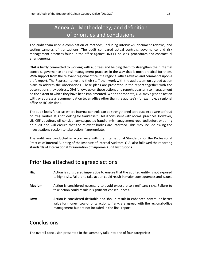## Annex A: Methodology, and definition of priorities and conclusions

\_\_\_\_\_\_\_\_\_\_\_\_\_\_\_\_\_\_\_\_\_\_\_\_\_\_\_\_\_\_\_\_\_\_\_\_\_\_\_\_\_\_\_\_\_\_\_\_\_\_\_\_\_\_\_\_\_\_\_\_\_\_\_\_\_\_\_\_\_\_\_\_\_\_\_\_\_\_

The audit team used a combination of methods, including interviews, document reviews, and testing samples of transactions. The audit compared actual controls, governance and risk management practices found in the office against UNICEF policies, procedures and contractual arrangements.

OIAI is firmly committed to working with auditees and helping them to strengthen their internal controls, governance and risk management practices in the way that is most practical for them. With support from the relevant regional office, the regional office reviews and comments upon a draft report. The Representative and their staff then work with the audit team on agreed action plans to address the observations. These plans are presented in the report together with the observations they address. OIAI follows up on these actions and reports quarterly to management on the extent to which they have been implemented. When appropriate, OIAI may agree an action with, or address a recommendation to, an office other than the auditee's (for example, a regional office or HQ division).

The audit looks for areas where internal controls can be strengthened to reduce exposure to fraud or irregularities. It is not looking for fraud itself. This is consistent with normal practices. However, UNICEF's auditors will consider any suspected fraud or mismanagement reported before or during an audit and will ensure that the relevant bodies are informed. This may include asking the Investigations section to take action if appropriate.

The audit was conducted in accordance with the International Standards for the Professional Practice of Internal Auditing of the Institute of Internal Auditors. OIAI also followed the reporting standards of International Organization of Supreme Audit Institutions.

## Priorities attached to agreed actions

| High:   | Action is considered imperative to ensure that the audited entity is not exposed<br>to high risks. Failure to take action could result in major consequences and issues.                                                     |
|---------|------------------------------------------------------------------------------------------------------------------------------------------------------------------------------------------------------------------------------|
| Medium: | Action is considered necessary to avoid exposure to significant risks. Failure to<br>take action could result in significant consequences.                                                                                   |
| Low:    | Action is considered desirable and should result in enhanced control or better<br>value for money. Low-priority actions, if any, are agreed with the regional-office<br>management but are not included in the final report. |

### **Conclusions**

The overall conclusion presented in the summary falls into one of four categories: